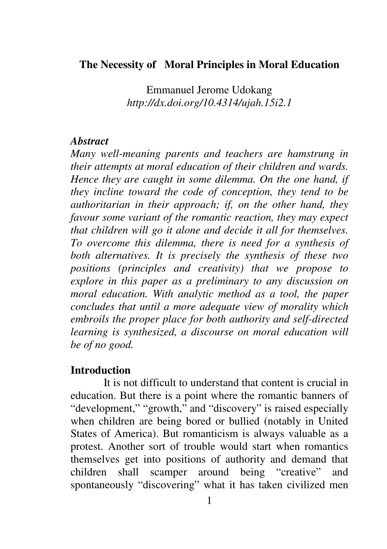#### **The Necessity of Moral Principles in Moral Education**

Emmanuel Jerome Udokang *http://dx.doi.org/10.4314/ujah.15i2.1* 

#### *Abstract*

*Many well-meaning parents and teachers are hamstrung in their attempts at moral education of their children and wards. Hence they are caught in some dilemma. On the one hand, if they incline toward the code of conception, they tend to be authoritarian in their approach; if, on the other hand, they favour some variant of the romantic reaction, they may expect that children will go it alone and decide it all for themselves. To overcome this dilemma, there is need for a synthesis of both alternatives. It is precisely the synthesis of these two positions (principles and creativity) that we propose to explore in this paper as a preliminary to any discussion on moral education. With analytic method as a tool, the paper concludes that until a more adequate view of morality which embroils the proper place for both authority and self-directed learning is synthesized, a discourse on moral education will be of no good.* 

#### **Introduction**

It is not difficult to understand that content is crucial in education. But there is a point where the romantic banners of "development," "growth," and "discovery" is raised especially when children are being bored or bullied (notably in United States of America). But romanticism is always valuable as a protest. Another sort of trouble would start when romantics themselves get into positions of authority and demand that children shall scamper around being "creative" and spontaneously "discovering" what it has taken civilized men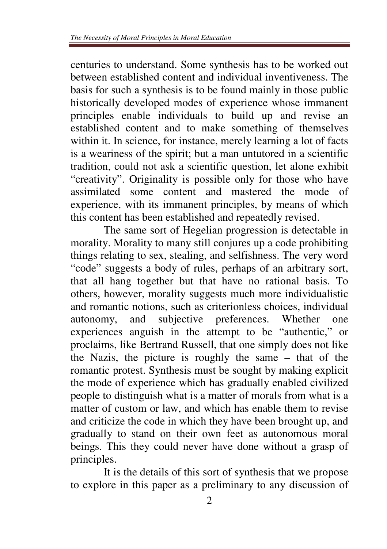centuries to understand. Some synthesis has to be worked out between established content and individual inventiveness. The basis for such a synthesis is to be found mainly in those public historically developed modes of experience whose immanent principles enable individuals to build up and revise an established content and to make something of themselves within it. In science, for instance, merely learning a lot of facts is a weariness of the spirit; but a man untutored in a scientific tradition, could not ask a scientific question, let alone exhibit "creativity". Originality is possible only for those who have assimilated some content and mastered the mode of experience, with its immanent principles, by means of which this content has been established and repeatedly revised.

The same sort of Hegelian progression is detectable in morality. Morality to many still conjures up a code prohibiting things relating to sex, stealing, and selfishness. The very word "code" suggests a body of rules, perhaps of an arbitrary sort, that all hang together but that have no rational basis. To others, however, morality suggests much more individualistic and romantic notions, such as criterionless choices, individual autonomy, and subjective preferences. Whether one experiences anguish in the attempt to be "authentic," or proclaims, like Bertrand Russell, that one simply does not like the Nazis, the picture is roughly the same – that of the romantic protest. Synthesis must be sought by making explicit the mode of experience which has gradually enabled civilized people to distinguish what is a matter of morals from what is a matter of custom or law, and which has enable them to revise and criticize the code in which they have been brought up, and gradually to stand on their own feet as autonomous moral beings. This they could never have done without a grasp of principles.

It is the details of this sort of synthesis that we propose to explore in this paper as a preliminary to any discussion of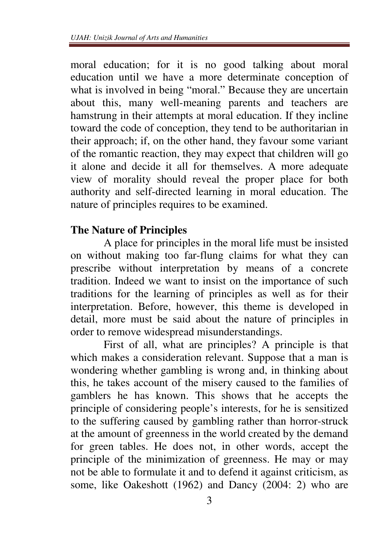moral education; for it is no good talking about moral education until we have a more determinate conception of what is involved in being "moral." Because they are uncertain about this, many well-meaning parents and teachers are hamstrung in their attempts at moral education. If they incline toward the code of conception, they tend to be authoritarian in their approach; if, on the other hand, they favour some variant of the romantic reaction, they may expect that children will go it alone and decide it all for themselves. A more adequate view of morality should reveal the proper place for both authority and self-directed learning in moral education. The nature of principles requires to be examined.

## **The Nature of Principles**

A place for principles in the moral life must be insisted on without making too far-flung claims for what they can prescribe without interpretation by means of a concrete tradition. Indeed we want to insist on the importance of such traditions for the learning of principles as well as for their interpretation. Before, however, this theme is developed in detail, more must be said about the nature of principles in order to remove widespread misunderstandings.

First of all, what are principles? A principle is that which makes a consideration relevant. Suppose that a man is wondering whether gambling is wrong and, in thinking about this, he takes account of the misery caused to the families of gamblers he has known. This shows that he accepts the principle of considering people's interests, for he is sensitized to the suffering caused by gambling rather than horror-struck at the amount of greenness in the world created by the demand for green tables. He does not, in other words, accept the principle of the minimization of greenness. He may or may not be able to formulate it and to defend it against criticism, as some, like Oakeshott (1962) and Dancy (2004: 2) who are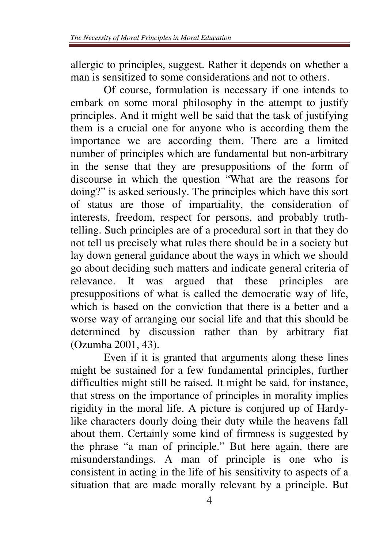allergic to principles, suggest. Rather it depends on whether a man is sensitized to some considerations and not to others.

Of course, formulation is necessary if one intends to embark on some moral philosophy in the attempt to justify principles. And it might well be said that the task of justifying them is a crucial one for anyone who is according them the importance we are according them. There are a limited number of principles which are fundamental but non-arbitrary in the sense that they are presuppositions of the form of discourse in which the question "What are the reasons for doing?" is asked seriously. The principles which have this sort of status are those of impartiality, the consideration of interests, freedom, respect for persons, and probably truthtelling. Such principles are of a procedural sort in that they do not tell us precisely what rules there should be in a society but lay down general guidance about the ways in which we should go about deciding such matters and indicate general criteria of relevance. It was argued that these principles are presuppositions of what is called the democratic way of life, which is based on the conviction that there is a better and a worse way of arranging our social life and that this should be determined by discussion rather than by arbitrary fiat (Ozumba 2001, 43).

Even if it is granted that arguments along these lines might be sustained for a few fundamental principles, further difficulties might still be raised. It might be said, for instance, that stress on the importance of principles in morality implies rigidity in the moral life. A picture is conjured up of Hardylike characters dourly doing their duty while the heavens fall about them. Certainly some kind of firmness is suggested by the phrase "a man of principle." But here again, there are misunderstandings. A man of principle is one who is consistent in acting in the life of his sensitivity to aspects of a situation that are made morally relevant by a principle. But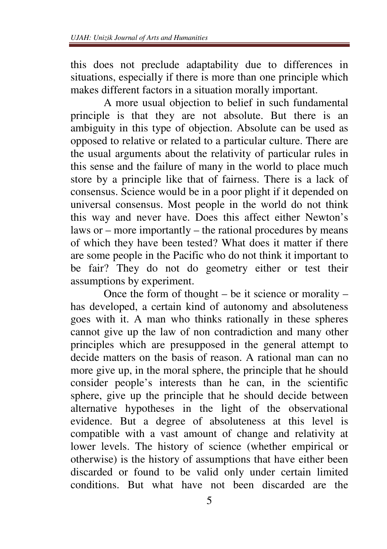this does not preclude adaptability due to differences in situations, especially if there is more than one principle which makes different factors in a situation morally important.

A more usual objection to belief in such fundamental principle is that they are not absolute. But there is an ambiguity in this type of objection. Absolute can be used as opposed to relative or related to a particular culture. There are the usual arguments about the relativity of particular rules in this sense and the failure of many in the world to place much store by a principle like that of fairness. There is a lack of consensus. Science would be in a poor plight if it depended on universal consensus. Most people in the world do not think this way and never have. Does this affect either Newton's laws or – more importantly – the rational procedures by means of which they have been tested? What does it matter if there are some people in the Pacific who do not think it important to be fair? They do not do geometry either or test their assumptions by experiment.

Once the form of thought  $-$  be it science or morality  $$ has developed, a certain kind of autonomy and absoluteness goes with it. A man who thinks rationally in these spheres cannot give up the law of non contradiction and many other principles which are presupposed in the general attempt to decide matters on the basis of reason. A rational man can no more give up, in the moral sphere, the principle that he should consider people's interests than he can, in the scientific sphere, give up the principle that he should decide between alternative hypotheses in the light of the observational evidence. But a degree of absoluteness at this level is compatible with a vast amount of change and relativity at lower levels. The history of science (whether empirical or otherwise) is the history of assumptions that have either been discarded or found to be valid only under certain limited conditions. But what have not been discarded are the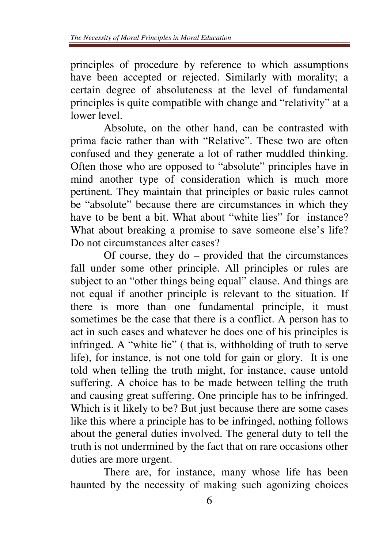principles of procedure by reference to which assumptions have been accepted or rejected. Similarly with morality; a certain degree of absoluteness at the level of fundamental principles is quite compatible with change and "relativity" at a lower level.

Absolute, on the other hand, can be contrasted with prima facie rather than with "Relative". These two are often confused and they generate a lot of rather muddled thinking. Often those who are opposed to "absolute" principles have in mind another type of consideration which is much more pertinent. They maintain that principles or basic rules cannot be "absolute" because there are circumstances in which they have to be bent a bit. What about "white lies" for instance? What about breaking a promise to save someone else's life? Do not circumstances alter cases?

Of course, they do – provided that the circumstances fall under some other principle. All principles or rules are subject to an "other things being equal" clause. And things are not equal if another principle is relevant to the situation. If there is more than one fundamental principle, it must sometimes be the case that there is a conflict. A person has to act in such cases and whatever he does one of his principles is infringed. A "white lie" ( that is, withholding of truth to serve life), for instance, is not one told for gain or glory. It is one told when telling the truth might, for instance, cause untold suffering. A choice has to be made between telling the truth and causing great suffering. One principle has to be infringed. Which is it likely to be? But just because there are some cases like this where a principle has to be infringed, nothing follows about the general duties involved. The general duty to tell the truth is not undermined by the fact that on rare occasions other duties are more urgent.

There are, for instance, many whose life has been haunted by the necessity of making such agonizing choices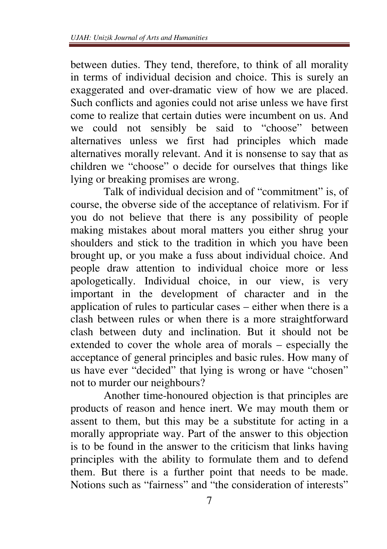between duties. They tend, therefore, to think of all morality in terms of individual decision and choice. This is surely an exaggerated and over-dramatic view of how we are placed. Such conflicts and agonies could not arise unless we have first come to realize that certain duties were incumbent on us. And we could not sensibly be said to "choose" between alternatives unless we first had principles which made alternatives morally relevant. And it is nonsense to say that as children we "choose" o decide for ourselves that things like lying or breaking promises are wrong.

Talk of individual decision and of "commitment" is, of course, the obverse side of the acceptance of relativism. For if you do not believe that there is any possibility of people making mistakes about moral matters you either shrug your shoulders and stick to the tradition in which you have been brought up, or you make a fuss about individual choice. And people draw attention to individual choice more or less apologetically. Individual choice, in our view, is very important in the development of character and in the application of rules to particular cases – either when there is a clash between rules or when there is a more straightforward clash between duty and inclination. But it should not be extended to cover the whole area of morals – especially the acceptance of general principles and basic rules. How many of us have ever "decided" that lying is wrong or have "chosen" not to murder our neighbours?

Another time-honoured objection is that principles are products of reason and hence inert. We may mouth them or assent to them, but this may be a substitute for acting in a morally appropriate way. Part of the answer to this objection is to be found in the answer to the criticism that links having principles with the ability to formulate them and to defend them. But there is a further point that needs to be made. Notions such as "fairness" and "the consideration of interests"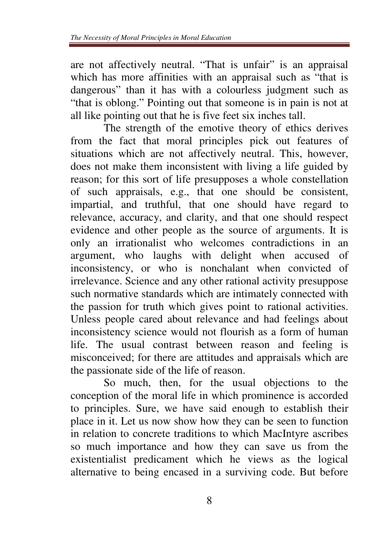are not affectively neutral. "That is unfair" is an appraisal which has more affinities with an appraisal such as "that is dangerous" than it has with a colourless judgment such as "that is oblong." Pointing out that someone is in pain is not at all like pointing out that he is five feet six inches tall.

The strength of the emotive theory of ethics derives from the fact that moral principles pick out features of situations which are not affectively neutral. This, however, does not make them inconsistent with living a life guided by reason; for this sort of life presupposes a whole constellation of such appraisals, e.g., that one should be consistent, impartial, and truthful, that one should have regard to relevance, accuracy, and clarity, and that one should respect evidence and other people as the source of arguments. It is only an irrationalist who welcomes contradictions in an argument, who laughs with delight when accused of inconsistency, or who is nonchalant when convicted of irrelevance. Science and any other rational activity presuppose such normative standards which are intimately connected with the passion for truth which gives point to rational activities. Unless people cared about relevance and had feelings about inconsistency science would not flourish as a form of human life. The usual contrast between reason and feeling is misconceived; for there are attitudes and appraisals which are the passionate side of the life of reason.

So much, then, for the usual objections to the conception of the moral life in which prominence is accorded to principles. Sure, we have said enough to establish their place in it. Let us now show how they can be seen to function in relation to concrete traditions to which MacIntyre ascribes so much importance and how they can save us from the existentialist predicament which he views as the logical alternative to being encased in a surviving code. But before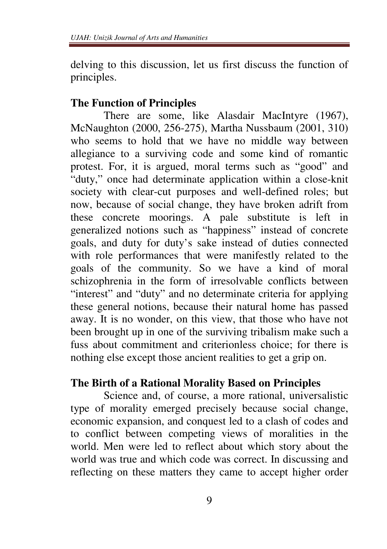delving to this discussion, let us first discuss the function of principles.

## **The Function of Principles**

There are some, like Alasdair MacIntyre (1967), McNaughton (2000, 256-275), Martha Nussbaum (2001, 310) who seems to hold that we have no middle way between allegiance to a surviving code and some kind of romantic protest. For, it is argued, moral terms such as "good" and "duty," once had determinate application within a close-knit society with clear-cut purposes and well-defined roles; but now, because of social change, they have broken adrift from these concrete moorings. A pale substitute is left in generalized notions such as "happiness" instead of concrete goals, and duty for duty's sake instead of duties connected with role performances that were manifestly related to the goals of the community. So we have a kind of moral schizophrenia in the form of irresolvable conflicts between "interest" and "duty" and no determinate criteria for applying these general notions, because their natural home has passed away. It is no wonder, on this view, that those who have not been brought up in one of the surviving tribalism make such a fuss about commitment and criterionless choice; for there is nothing else except those ancient realities to get a grip on.

# **The Birth of a Rational Morality Based on Principles**

Science and, of course, a more rational, universalistic type of morality emerged precisely because social change, economic expansion, and conquest led to a clash of codes and to conflict between competing views of moralities in the world. Men were led to reflect about which story about the world was true and which code was correct. In discussing and reflecting on these matters they came to accept higher order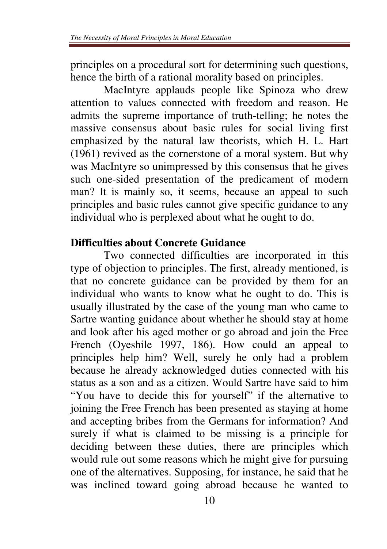principles on a procedural sort for determining such questions, hence the birth of a rational morality based on principles.

MacIntyre applauds people like Spinoza who drew attention to values connected with freedom and reason. He admits the supreme importance of truth-telling; he notes the massive consensus about basic rules for social living first emphasized by the natural law theorists, which H. L. Hart (1961) revived as the cornerstone of a moral system. But why was MacIntyre so unimpressed by this consensus that he gives such one-sided presentation of the predicament of modern man? It is mainly so, it seems, because an appeal to such principles and basic rules cannot give specific guidance to any individual who is perplexed about what he ought to do.

### **Difficulties about Concrete Guidance**

Two connected difficulties are incorporated in this type of objection to principles. The first, already mentioned, is that no concrete guidance can be provided by them for an individual who wants to know what he ought to do. This is usually illustrated by the case of the young man who came to Sartre wanting guidance about whether he should stay at home and look after his aged mother or go abroad and join the Free French (Oyeshile 1997, 186). How could an appeal to principles help him? Well, surely he only had a problem because he already acknowledged duties connected with his status as a son and as a citizen. Would Sartre have said to him "You have to decide this for yourself" if the alternative to joining the Free French has been presented as staying at home and accepting bribes from the Germans for information? And surely if what is claimed to be missing is a principle for deciding between these duties, there are principles which would rule out some reasons which he might give for pursuing one of the alternatives. Supposing, for instance, he said that he was inclined toward going abroad because he wanted to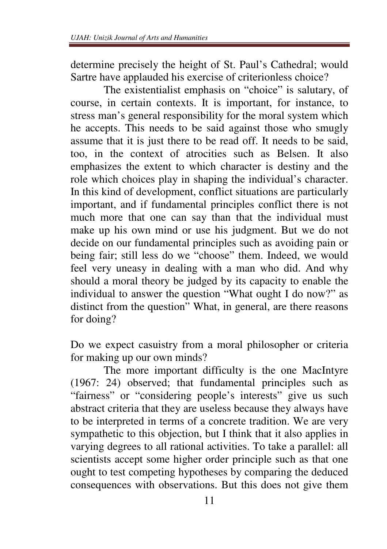determine precisely the height of St. Paul's Cathedral; would Sartre have applauded his exercise of criterionless choice?

The existentialist emphasis on "choice" is salutary, of course, in certain contexts. It is important, for instance, to stress man's general responsibility for the moral system which he accepts. This needs to be said against those who smugly assume that it is just there to be read off. It needs to be said, too, in the context of atrocities such as Belsen. It also emphasizes the extent to which character is destiny and the role which choices play in shaping the individual's character. In this kind of development, conflict situations are particularly important, and if fundamental principles conflict there is not much more that one can say than that the individual must make up his own mind or use his judgment. But we do not decide on our fundamental principles such as avoiding pain or being fair; still less do we "choose" them. Indeed, we would feel very uneasy in dealing with a man who did. And why should a moral theory be judged by its capacity to enable the individual to answer the question "What ought I do now?" as distinct from the question" What, in general, are there reasons for doing?

Do we expect casuistry from a moral philosopher or criteria for making up our own minds?

The more important difficulty is the one MacIntyre (1967: 24) observed; that fundamental principles such as "fairness" or "considering people's interests" give us such abstract criteria that they are useless because they always have to be interpreted in terms of a concrete tradition. We are very sympathetic to this objection, but I think that it also applies in varying degrees to all rational activities. To take a parallel: all scientists accept some higher order principle such as that one ought to test competing hypotheses by comparing the deduced consequences with observations. But this does not give them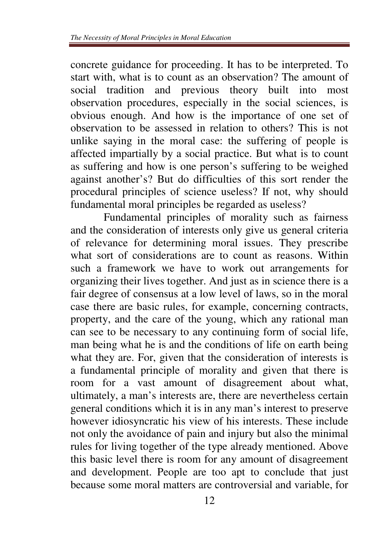concrete guidance for proceeding. It has to be interpreted. To start with, what is to count as an observation? The amount of social tradition and previous theory built into most observation procedures, especially in the social sciences, is obvious enough. And how is the importance of one set of observation to be assessed in relation to others? This is not unlike saying in the moral case: the suffering of people is affected impartially by a social practice. But what is to count as suffering and how is one person's suffering to be weighed against another's? But do difficulties of this sort render the procedural principles of science useless? If not, why should fundamental moral principles be regarded as useless?

Fundamental principles of morality such as fairness and the consideration of interests only give us general criteria of relevance for determining moral issues. They prescribe what sort of considerations are to count as reasons. Within such a framework we have to work out arrangements for organizing their lives together. And just as in science there is a fair degree of consensus at a low level of laws, so in the moral case there are basic rules, for example, concerning contracts, property, and the care of the young, which any rational man can see to be necessary to any continuing form of social life, man being what he is and the conditions of life on earth being what they are. For, given that the consideration of interests is a fundamental principle of morality and given that there is room for a vast amount of disagreement about what, ultimately, a man's interests are, there are nevertheless certain general conditions which it is in any man's interest to preserve however idiosyncratic his view of his interests. These include not only the avoidance of pain and injury but also the minimal rules for living together of the type already mentioned. Above this basic level there is room for any amount of disagreement and development. People are too apt to conclude that just because some moral matters are controversial and variable, for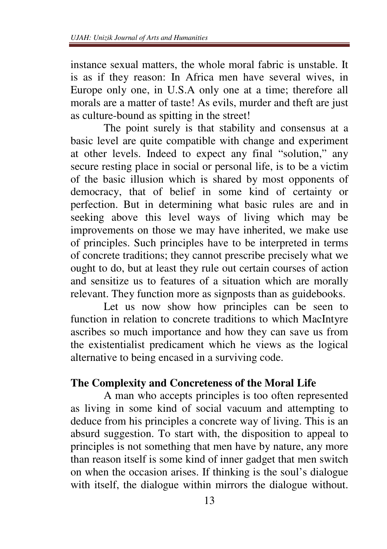instance sexual matters, the whole moral fabric is unstable. It is as if they reason: In Africa men have several wives, in Europe only one, in U.S.A only one at a time; therefore all morals are a matter of taste! As evils, murder and theft are just as culture-bound as spitting in the street!

The point surely is that stability and consensus at a basic level are quite compatible with change and experiment at other levels. Indeed to expect any final "solution," any secure resting place in social or personal life, is to be a victim of the basic illusion which is shared by most opponents of democracy, that of belief in some kind of certainty or perfection. But in determining what basic rules are and in seeking above this level ways of living which may be improvements on those we may have inherited, we make use of principles. Such principles have to be interpreted in terms of concrete traditions; they cannot prescribe precisely what we ought to do, but at least they rule out certain courses of action and sensitize us to features of a situation which are morally relevant. They function more as signposts than as guidebooks.

Let us now show how principles can be seen to function in relation to concrete traditions to which MacIntyre ascribes so much importance and how they can save us from the existentialist predicament which he views as the logical alternative to being encased in a surviving code.

### **The Complexity and Concreteness of the Moral Life**

A man who accepts principles is too often represented as living in some kind of social vacuum and attempting to deduce from his principles a concrete way of living. This is an absurd suggestion. To start with, the disposition to appeal to principles is not something that men have by nature, any more than reason itself is some kind of inner gadget that men switch on when the occasion arises. If thinking is the soul's dialogue with itself, the dialogue within mirrors the dialogue without.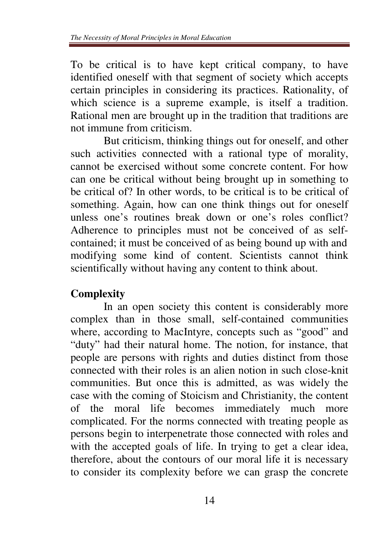To be critical is to have kept critical company, to have identified oneself with that segment of society which accepts certain principles in considering its practices. Rationality, of which science is a supreme example, is itself a tradition. Rational men are brought up in the tradition that traditions are not immune from criticism.

But criticism, thinking things out for oneself, and other such activities connected with a rational type of morality, cannot be exercised without some concrete content. For how can one be critical without being brought up in something to be critical of? In other words, to be critical is to be critical of something. Again, how can one think things out for oneself unless one's routines break down or one's roles conflict? Adherence to principles must not be conceived of as selfcontained; it must be conceived of as being bound up with and modifying some kind of content. Scientists cannot think scientifically without having any content to think about.

# **Complexity**

In an open society this content is considerably more complex than in those small, self-contained communities where, according to MacIntyre, concepts such as "good" and "duty" had their natural home. The notion, for instance, that people are persons with rights and duties distinct from those connected with their roles is an alien notion in such close-knit communities. But once this is admitted, as was widely the case with the coming of Stoicism and Christianity, the content of the moral life becomes immediately much more complicated. For the norms connected with treating people as persons begin to interpenetrate those connected with roles and with the accepted goals of life. In trying to get a clear idea, therefore, about the contours of our moral life it is necessary to consider its complexity before we can grasp the concrete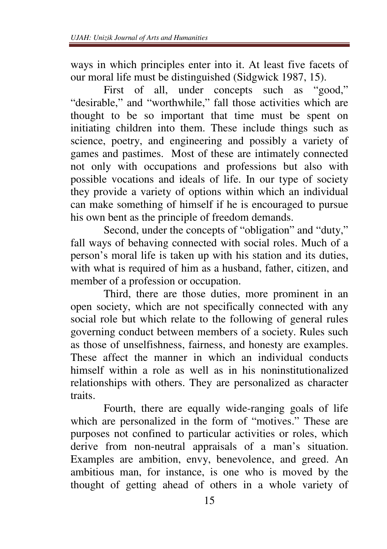ways in which principles enter into it. At least five facets of our moral life must be distinguished (Sidgwick 1987, 15).

First of all, under concepts such as "good," "desirable," and "worthwhile," fall those activities which are thought to be so important that time must be spent on initiating children into them. These include things such as science, poetry, and engineering and possibly a variety of games and pastimes. Most of these are intimately connected not only with occupations and professions but also with possible vocations and ideals of life. In our type of society they provide a variety of options within which an individual can make something of himself if he is encouraged to pursue his own bent as the principle of freedom demands.

Second, under the concepts of "obligation" and "duty," fall ways of behaving connected with social roles. Much of a person's moral life is taken up with his station and its duties, with what is required of him as a husband, father, citizen, and member of a profession or occupation.

Third, there are those duties, more prominent in an open society, which are not specifically connected with any social role but which relate to the following of general rules governing conduct between members of a society. Rules such as those of unselfishness, fairness, and honesty are examples. These affect the manner in which an individual conducts himself within a role as well as in his noninstitutionalized relationships with others. They are personalized as character traits.

Fourth, there are equally wide-ranging goals of life which are personalized in the form of "motives." These are purposes not confined to particular activities or roles, which derive from non-neutral appraisals of a man's situation. Examples are ambition, envy, benevolence, and greed. An ambitious man, for instance, is one who is moved by the thought of getting ahead of others in a whole variety of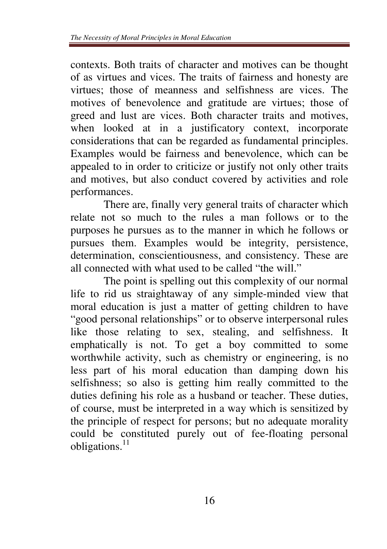contexts. Both traits of character and motives can be thought of as virtues and vices. The traits of fairness and honesty are virtues; those of meanness and selfishness are vices. The motives of benevolence and gratitude are virtues; those of greed and lust are vices. Both character traits and motives, when looked at in a justificatory context, incorporate considerations that can be regarded as fundamental principles. Examples would be fairness and benevolence, which can be appealed to in order to criticize or justify not only other traits and motives, but also conduct covered by activities and role performances.

There are, finally very general traits of character which relate not so much to the rules a man follows or to the purposes he pursues as to the manner in which he follows or pursues them. Examples would be integrity, persistence, determination, conscientiousness, and consistency. These are all connected with what used to be called "the will."

The point is spelling out this complexity of our normal life to rid us straightaway of any simple-minded view that moral education is just a matter of getting children to have "good personal relationships" or to observe interpersonal rules like those relating to sex, stealing, and selfishness. It emphatically is not. To get a boy committed to some worthwhile activity, such as chemistry or engineering, is no less part of his moral education than damping down his selfishness; so also is getting him really committed to the duties defining his role as a husband or teacher. These duties, of course, must be interpreted in a way which is sensitized by the principle of respect for persons; but no adequate morality could be constituted purely out of fee-floating personal obligations. $^{11}$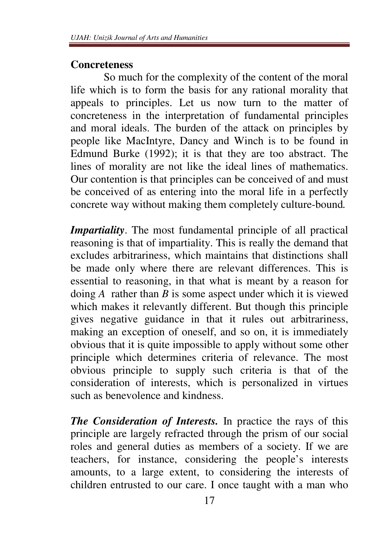#### **Concreteness**

So much for the complexity of the content of the moral life which is to form the basis for any rational morality that appeals to principles. Let us now turn to the matter of concreteness in the interpretation of fundamental principles and moral ideals. The burden of the attack on principles by people like MacIntyre, Dancy and Winch is to be found in Edmund Burke (1992); it is that they are too abstract. The lines of morality are not like the ideal lines of mathematics. Our contention is that principles can be conceived of and must be conceived of as entering into the moral life in a perfectly concrete way without making them completely culture-bound*.*

*Impartiality*. The most fundamental principle of all practical reasoning is that of impartiality. This is really the demand that excludes arbitrariness, which maintains that distinctions shall be made only where there are relevant differences. This is essential to reasoning, in that what is meant by a reason for doing *A* rather than *B* is some aspect under which it is viewed which makes it relevantly different. But though this principle gives negative guidance in that it rules out arbitrariness, making an exception of oneself, and so on, it is immediately obvious that it is quite impossible to apply without some other principle which determines criteria of relevance. The most obvious principle to supply such criteria is that of the consideration of interests, which is personalized in virtues such as benevolence and kindness.

*The Consideration of Interests.* In practice the rays of this principle are largely refracted through the prism of our social roles and general duties as members of a society. If we are teachers, for instance, considering the people's interests amounts, to a large extent, to considering the interests of children entrusted to our care. I once taught with a man who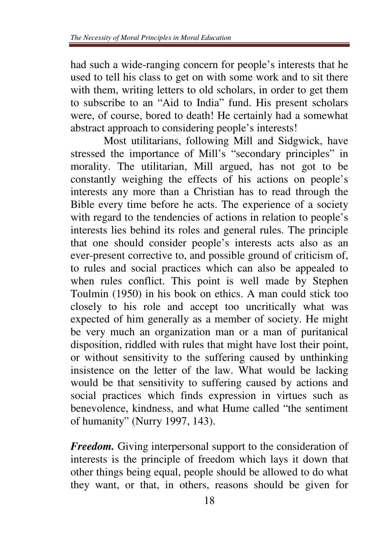had such a wide-ranging concern for people's interests that he used to tell his class to get on with some work and to sit there with them, writing letters to old scholars, in order to get them to subscribe to an "Aid to India" fund. His present scholars were, of course, bored to death! He certainly had a somewhat abstract approach to considering people's interests!

Most utilitarians, following Mill and Sidgwick, have stressed the importance of Mill's "secondary principles" in morality. The utilitarian, Mill argued, has not got to be constantly weighing the effects of his actions on people's interests any more than a Christian has to read through the Bible every time before he acts. The experience of a society with regard to the tendencies of actions in relation to people's interests lies behind its roles and general rules. The principle that one should consider people's interests acts also as an ever-present corrective to, and possible ground of criticism of, to rules and social practices which can also be appealed to when rules conflict. This point is well made by Stephen Toulmin (1950) in his book on ethics. A man could stick too closely to his role and accept too uncritically what was expected of him generally as a member of society. He might be very much an organization man or a man of puritanical disposition, riddled with rules that might have lost their point, or without sensitivity to the suffering caused by unthinking insistence on the letter of the law. What would be lacking would be that sensitivity to suffering caused by actions and social practices which finds expression in virtues such as benevolence, kindness, and what Hume called "the sentiment of humanity" (Nurry 1997, 143).

*Freedom.* Giving interpersonal support to the consideration of interests is the principle of freedom which lays it down that other things being equal, people should be allowed to do what they want, or that, in others, reasons should be given for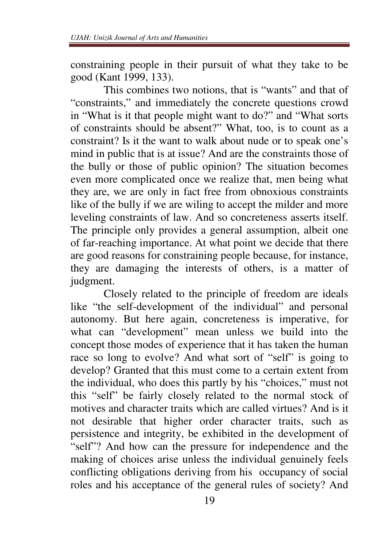constraining people in their pursuit of what they take to be good (Kant 1999, 133).

 This combines two notions, that is "wants" and that of "constraints," and immediately the concrete questions crowd in "What is it that people might want to do?" and "What sorts of constraints should be absent?" What, too, is to count as a constraint? Is it the want to walk about nude or to speak one's mind in public that is at issue? And are the constraints those of the bully or those of public opinion? The situation becomes even more complicated once we realize that, men being what they are, we are only in fact free from obnoxious constraints like of the bully if we are wiling to accept the milder and more leveling constraints of law. And so concreteness asserts itself. The principle only provides a general assumption, albeit one of far-reaching importance. At what point we decide that there are good reasons for constraining people because, for instance, they are damaging the interests of others, is a matter of judgment.

Closely related to the principle of freedom are ideals like "the self-development of the individual" and personal autonomy. But here again, concreteness is imperative, for what can "development" mean unless we build into the concept those modes of experience that it has taken the human race so long to evolve? And what sort of "self" is going to develop? Granted that this must come to a certain extent from the individual, who does this partly by his "choices," must not this "self" be fairly closely related to the normal stock of motives and character traits which are called virtues? And is it not desirable that higher order character traits, such as persistence and integrity, be exhibited in the development of "self"? And how can the pressure for independence and the making of choices arise unless the individual genuinely feels conflicting obligations deriving from his occupancy of social roles and his acceptance of the general rules of society? And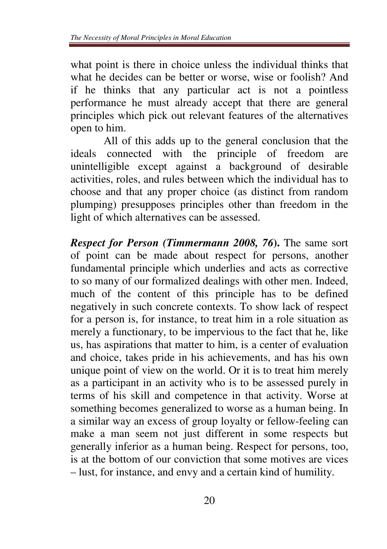what point is there in choice unless the individual thinks that what he decides can be better or worse, wise or foolish? And if he thinks that any particular act is not a pointless performance he must already accept that there are general principles which pick out relevant features of the alternatives open to him.

All of this adds up to the general conclusion that the ideals connected with the principle of freedom are unintelligible except against a background of desirable activities, roles, and rules between which the individual has to choose and that any proper choice (as distinct from random plumping) presupposes principles other than freedom in the light of which alternatives can be assessed.

*Respect for Person (Timmermann 2008, 76***).** The same sort of point can be made about respect for persons, another fundamental principle which underlies and acts as corrective to so many of our formalized dealings with other men. Indeed, much of the content of this principle has to be defined negatively in such concrete contexts. To show lack of respect for a person is, for instance, to treat him in a role situation as merely a functionary, to be impervious to the fact that he, like us, has aspirations that matter to him, is a center of evaluation and choice, takes pride in his achievements, and has his own unique point of view on the world. Or it is to treat him merely as a participant in an activity who is to be assessed purely in terms of his skill and competence in that activity. Worse at something becomes generalized to worse as a human being. In a similar way an excess of group loyalty or fellow-feeling can make a man seem not just different in some respects but generally inferior as a human being. Respect for persons, too, is at the bottom of our conviction that some motives are vices – lust, for instance, and envy and a certain kind of humility.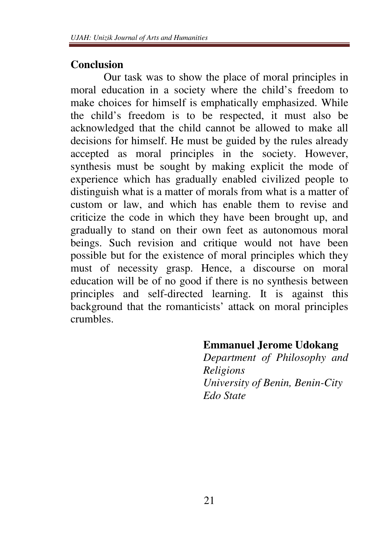## **Conclusion**

Our task was to show the place of moral principles in moral education in a society where the child's freedom to make choices for himself is emphatically emphasized. While the child's freedom is to be respected, it must also be acknowledged that the child cannot be allowed to make all decisions for himself. He must be guided by the rules already accepted as moral principles in the society. However, synthesis must be sought by making explicit the mode of experience which has gradually enabled civilized people to distinguish what is a matter of morals from what is a matter of custom or law, and which has enable them to revise and criticize the code in which they have been brought up, and gradually to stand on their own feet as autonomous moral beings. Such revision and critique would not have been possible but for the existence of moral principles which they must of necessity grasp. Hence, a discourse on moral education will be of no good if there is no synthesis between principles and self-directed learning. It is against this background that the romanticists' attack on moral principles crumbles.

### **Emmanuel Jerome Udokang**

 *Department of Philosophy and Religions University of Benin, Benin-City Edo State*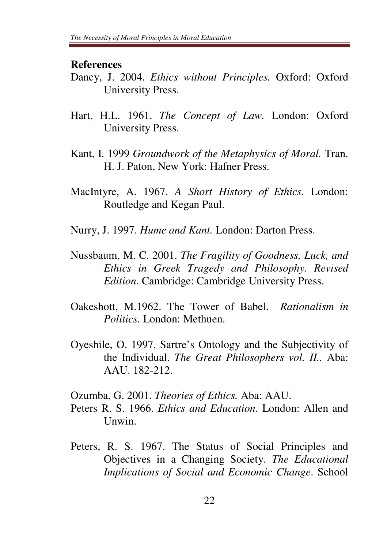#### **References**

- Dancy, J. 2004. *Ethics without Principles.* Oxford: Oxford University Press.
- Hart, H.L. 1961. *The Concept of Law.* London: Oxford University Press.
- Kant, I. 1999 *Groundwork of the Metaphysics of Moral.* Tran. H. J. Paton, New York: Hafner Press.
- MacIntyre, A. 1967. *A Short History of Ethics.* London: Routledge and Kegan Paul.
- Nurry, J. 1997. *Hume and Kant.* London: Darton Press.
- Nussbaum, M. C. 2001. *The Fragility of Goodness, Luck, and Ethics in Greek Tragedy and Philosophy. Revised Edition.* Cambridge: Cambridge University Press.
- Oakeshott, M.1962. The Tower of Babel. *Rationalism in Politics.* London: Methuen.
- Oyeshile, O. 1997. Sartre's Ontology and the Subjectivity of the Individual. *The Great Philosophers vol. II..* Aba: AAU. 182-212.

Ozumba, G. 2001. *Theories of Ethics.* Aba: AAU.

- Peters R. S. 1966. *Ethics and Education.* London: Allen and Unwin.
- Peters, R. S. 1967. The Status of Social Principles and Objectives in a Changing Society. *The Educational Implications of Social and Economic Change*. School